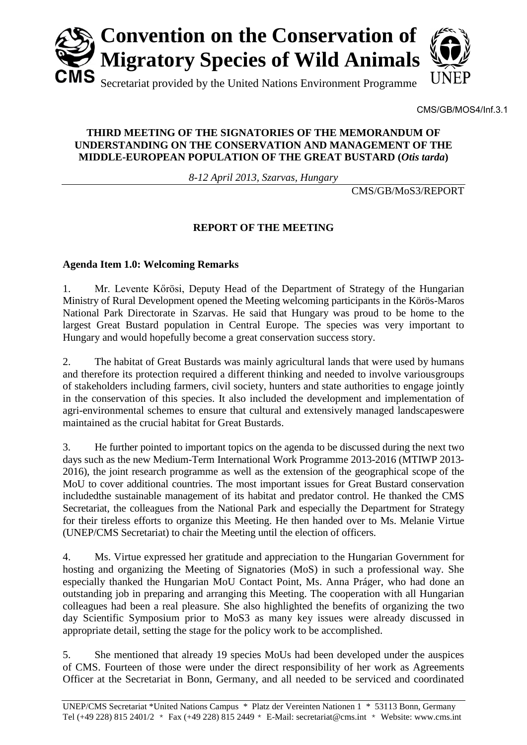

CMS/GB/MOS4/Inf.3.1

## **THIRD MEETING OF THE SIGNATORIES OF THE MEMORANDUM OF UNDERSTANDING ON THE CONSERVATION AND MANAGEMENT OF THE MIDDLE-EUROPEAN POPULATION OF THE GREAT BUSTARD (***Otis tarda***)**

*8-12 April 2013, Szarvas, Hungary* 

CMS/GB/MoS3/REPORT

# **REPORT OF THE MEETING**

## **Agenda Item 1.0: Welcoming Remarks**

1. Mr. Levente Kőrösi, Deputy Head of the Department of Strategy of the Hungarian Ministry of Rural Development opened the Meeting welcoming participants in the Körös-Maros National Park Directorate in Szarvas. He said that Hungary was proud to be home to the largest Great Bustard population in Central Europe. The species was very important to Hungary and would hopefully become a great conservation success story.

2. The habitat of Great Bustards was mainly agricultural lands that were used by humans and therefore its protection required a different thinking and needed to involve variousgroups of stakeholders including farmers, civil society, hunters and state authorities to engage jointly in the conservation of this species. It also included the development and implementation of agri-environmental schemes to ensure that cultural and extensively managed landscapeswere maintained as the crucial habitat for Great Bustards.

3. He further pointed to important topics on the agenda to be discussed during the next two days such as the new Medium-Term International Work Programme 2013-2016 (MTIWP 2013- 2016), the joint research programme as well as the extension of the geographical scope of the MoU to cover additional countries. The most important issues for Great Bustard conservation includedthe sustainable management of its habitat and predator control. He thanked the CMS Secretariat, the colleagues from the National Park and especially the Department for Strategy for their tireless efforts to organize this Meeting. He then handed over to Ms. Melanie Virtue (UNEP/CMS Secretariat) to chair the Meeting until the election of officers.

4. Ms. Virtue expressed her gratitude and appreciation to the Hungarian Government for hosting and organizing the Meeting of Signatories (MoS) in such a professional way. She especially thanked the Hungarian MoU Contact Point, Ms. Anna Práger, who had done an outstanding job in preparing and arranging this Meeting. The cooperation with all Hungarian colleagues had been a real pleasure. She also highlighted the benefits of organizing the two day Scientific Symposium prior to MoS3 as many key issues were already discussed in appropriate detail, setting the stage for the policy work to be accomplished.

5. She mentioned that already 19 species MoUs had been developed under the auspices of CMS. Fourteen of those were under the direct responsibility of her work as Agreements Officer at the Secretariat in Bonn, Germany, and all needed to be serviced and coordinated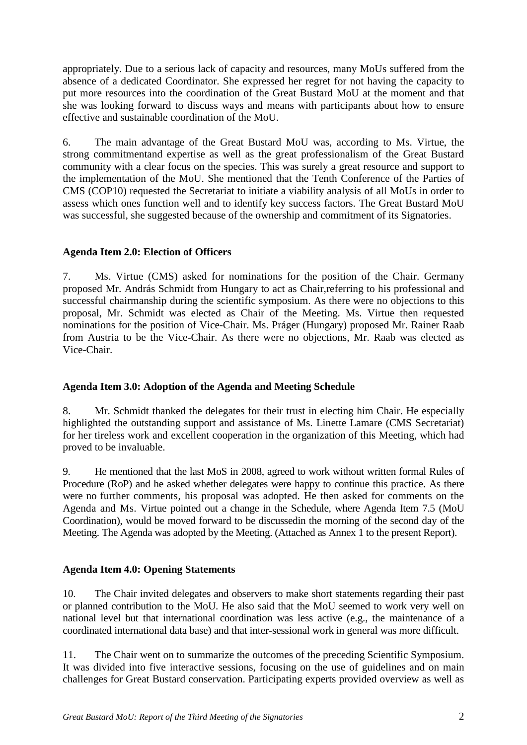appropriately. Due to a serious lack of capacity and resources, many MoUs suffered from the absence of a dedicated Coordinator. She expressed her regret for not having the capacity to put more resources into the coordination of the Great Bustard MoU at the moment and that she was looking forward to discuss ways and means with participants about how to ensure effective and sustainable coordination of the MoU.

6. The main advantage of the Great Bustard MoU was, according to Ms. Virtue, the strong commitmentand expertise as well as the great professionalism of the Great Bustard community with a clear focus on the species. This was surely a great resource and support to the implementation of the MoU. She mentioned that the Tenth Conference of the Parties of CMS (COP10) requested the Secretariat to initiate a viability analysis of all MoUs in order to assess which ones function well and to identify key success factors. The Great Bustard MoU was successful, she suggested because of the ownership and commitment of its Signatories.

# **Agenda Item 2.0: Election of Officers**

7. Ms. Virtue (CMS) asked for nominations for the position of the Chair. Germany proposed Mr. András Schmidt from Hungary to act as Chair,referring to his professional and successful chairmanship during the scientific symposium. As there were no objections to this proposal, Mr. Schmidt was elected as Chair of the Meeting. Ms. Virtue then requested nominations for the position of Vice-Chair. Ms. Práger (Hungary) proposed Mr. Rainer Raab from Austria to be the Vice-Chair. As there were no objections, Mr. Raab was elected as Vice-Chair.

## **Agenda Item 3.0: Adoption of the Agenda and Meeting Schedule**

8. Mr. Schmidt thanked the delegates for their trust in electing him Chair. He especially highlighted the outstanding support and assistance of Ms. Linette Lamare (CMS Secretariat) for her tireless work and excellent cooperation in the organization of this Meeting, which had proved to be invaluable.

9. He mentioned that the last MoS in 2008, agreed to work without written formal Rules of Procedure (RoP) and he asked whether delegates were happy to continue this practice. As there were no further comments, his proposal was adopted. He then asked for comments on the Agenda and Ms. Virtue pointed out a change in the Schedule, where Agenda Item 7.5 (MoU Coordination), would be moved forward to be discussedin the morning of the second day of the Meeting. The Agenda was adopted by the Meeting. (Attached as Annex 1 to the present Report).

# **Agenda Item 4.0: Opening Statements**

10. The Chair invited delegates and observers to make short statements regarding their past or planned contribution to the MoU. He also said that the MoU seemed to work very well on national level but that international coordination was less active (e.g., the maintenance of a coordinated international data base) and that inter-sessional work in general was more difficult.

11. The Chair went on to summarize the outcomes of the preceding Scientific Symposium. It was divided into five interactive sessions, focusing on the use of guidelines and on main challenges for Great Bustard conservation. Participating experts provided overview as well as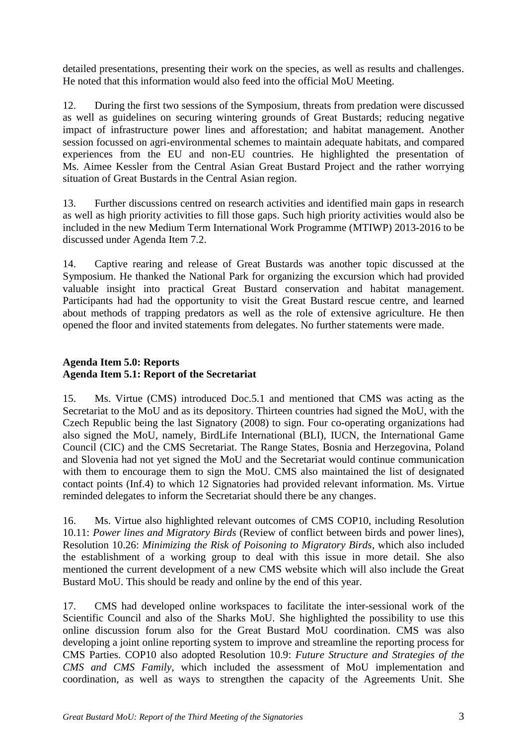detailed presentations, presenting their work on the species, as well as results and challenges. He noted that this information would also feed into the official MoU Meeting.

12. During the first two sessions of the Symposium, threats from predation were discussed as well as guidelines on securing wintering grounds of Great Bustards; reducing negative impact of infrastructure power lines and afforestation; and habitat management. Another session focussed on agri-environmental schemes to maintain adequate habitats, and compared experiences from the EU and non-EU countries. He highlighted the presentation of Ms. Aimee Kessler from the Central Asian Great Bustard Project and the rather worrying situation of Great Bustards in the Central Asian region.

13. Further discussions centred on research activities and identified main gaps in research as well as high priority activities to fill those gaps. Such high priority activities would also be included in the new Medium Term International Work Programme (MTIWP) 2013-2016 to be discussed under Agenda Item 7.2.

14. Captive rearing and release of Great Bustards was another topic discussed at the Symposium. He thanked the National Park for organizing the excursion which had provided valuable insight into practical Great Bustard conservation and habitat management. Participants had had the opportunity to visit the Great Bustard rescue centre, and learned about methods of trapping predators as well as the role of extensive agriculture. He then opened the floor and invited statements from delegates. No further statements were made.

# **Agenda Item 5.0: Reports Agenda Item 5.1: Report of the Secretariat**

15. Ms. Virtue (CMS) introduced Doc.5.1 and mentioned that CMS was acting as the Secretariat to the MoU and as its depository. Thirteen countries had signed the MoU, with the Czech Republic being the last Signatory (2008) to sign. Four co-operating organizations had also signed the MoU, namely, BirdLife International (BLI), IUCN, the International Game Council (CIC) and the CMS Secretariat. The Range States, Bosnia and Herzegovina, Poland and Slovenia had not yet signed the MoU and the Secretariat would continue communication with them to encourage them to sign the MoU. CMS also maintained the list of designated contact points (Inf.4) to which 12 Signatories had provided relevant information. Ms. Virtue reminded delegates to inform the Secretariat should there be any changes.

16. Ms. Virtue also highlighted relevant outcomes of CMS COP10, including Resolution 10.11: *Power lines and Migratory Birds* (Review of conflict between birds and power lines), Resolution 10.26: *Minimizing the Risk of Poisoning to Migratory Birds*, which also included the establishment of a working group to deal with this issue in more detail. She also mentioned the current development of a new CMS website which will also include the Great Bustard MoU. This should be ready and online by the end of this year.

17. CMS had developed online workspaces to facilitate the inter-sessional work of the Scientific Council and also of the Sharks MoU. She highlighted the possibility to use this online discussion forum also for the Great Bustard MoU coordination. CMS was also developing a joint online reporting system to improve and streamline the reporting process for CMS Parties. COP10 also adopted Resolution 10.9: *Future Structure and Strategies of the CMS and CMS Family*, which included the assessment of MoU implementation and coordination, as well as ways to strengthen the capacity of the Agreements Unit. She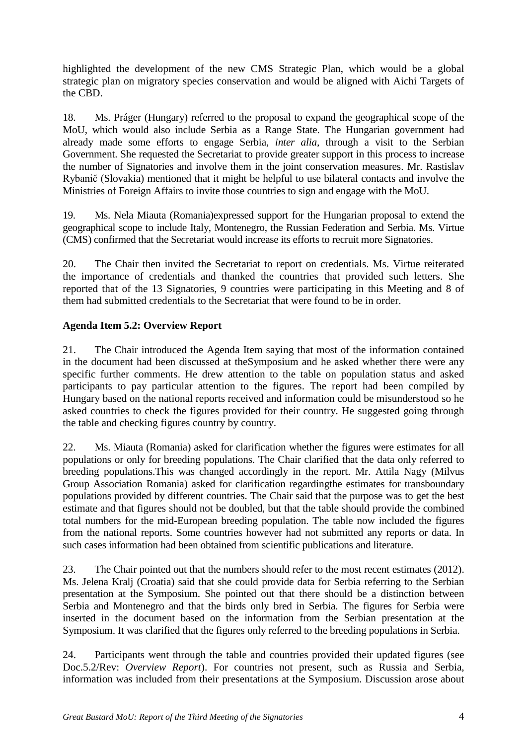highlighted the development of the new CMS Strategic Plan, which would be a global strategic plan on migratory species conservation and would be aligned with Aichi Targets of the CBD.

18. Ms. Práger (Hungary) referred to the proposal to expand the geographical scope of the MoU, which would also include Serbia as a Range State. The Hungarian government had already made some efforts to engage Serbia, *inter alia,* through a visit to the Serbian Government. She requested the Secretariat to provide greater support in this process to increase the number of Signatories and involve them in the joint conservation measures. Mr. Rastislav Rybanič (Slovakia) mentioned that it might be helpful to use bilateral contacts and involve the Ministries of Foreign Affairs to invite those countries to sign and engage with the MoU.

19. Ms. Nela Miauta (Romania)expressed support for the Hungarian proposal to extend the geographical scope to include Italy, Montenegro, the Russian Federation and Serbia. Ms. Virtue (CMS) confirmed that the Secretariat would increase its efforts to recruit more Signatories.

20. The Chair then invited the Secretariat to report on credentials. Ms. Virtue reiterated the importance of credentials and thanked the countries that provided such letters. She reported that of the 13 Signatories, 9 countries were participating in this Meeting and 8 of them had submitted credentials to the Secretariat that were found to be in order.

# **Agenda Item 5.2: Overview Report**

21. The Chair introduced the Agenda Item saying that most of the information contained in the document had been discussed at theSymposium and he asked whether there were any specific further comments. He drew attention to the table on population status and asked participants to pay particular attention to the figures. The report had been compiled by Hungary based on the national reports received and information could be misunderstood so he asked countries to check the figures provided for their country. He suggested going through the table and checking figures country by country.

22. Ms. Miauta (Romania) asked for clarification whether the figures were estimates for all populations or only for breeding populations. The Chair clarified that the data only referred to breeding populations.This was changed accordingly in the report. Mr. Attila Nagy (Milvus Group Association Romania) asked for clarification regardingthe estimates for transboundary populations provided by different countries. The Chair said that the purpose was to get the best estimate and that figures should not be doubled, but that the table should provide the combined total numbers for the mid-European breeding population. The table now included the figures from the national reports. Some countries however had not submitted any reports or data. In such cases information had been obtained from scientific publications and literature.

23. The Chair pointed out that the numbers should refer to the most recent estimates (2012). Ms. Jelena Kralj (Croatia) said that she could provide data for Serbia referring to the Serbian presentation at the Symposium. She pointed out that there should be a distinction between Serbia and Montenegro and that the birds only bred in Serbia. The figures for Serbia were inserted in the document based on the information from the Serbian presentation at the Symposium. It was clarified that the figures only referred to the breeding populations in Serbia.

24. Participants went through the table and countries provided their updated figures (see Doc.5.2/Rev: *Overview Report*). For countries not present, such as Russia and Serbia, information was included from their presentations at the Symposium. Discussion arose about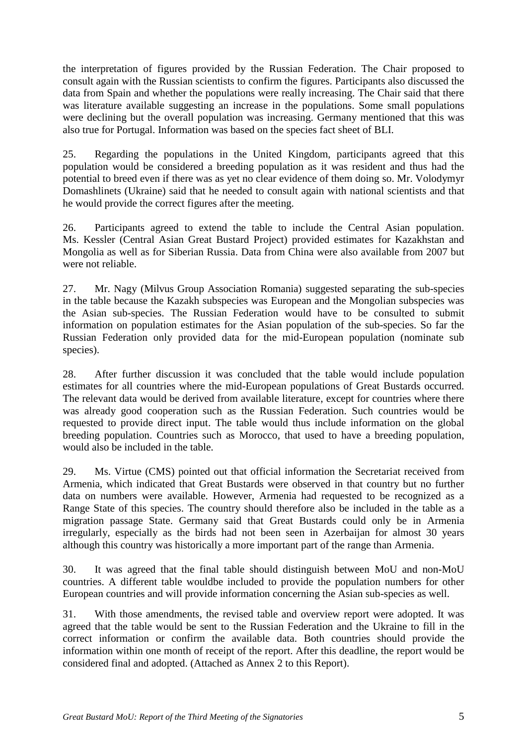the interpretation of figures provided by the Russian Federation. The Chair proposed to consult again with the Russian scientists to confirm the figures. Participants also discussed the data from Spain and whether the populations were really increasing. The Chair said that there was literature available suggesting an increase in the populations. Some small populations were declining but the overall population was increasing. Germany mentioned that this was also true for Portugal. Information was based on the species fact sheet of BLI.

25. Regarding the populations in the United Kingdom, participants agreed that this population would be considered a breeding population as it was resident and thus had the potential to breed even if there was as yet no clear evidence of them doing so. Mr. Volodymyr Domashlinets (Ukraine) said that he needed to consult again with national scientists and that he would provide the correct figures after the meeting.

26. Participants agreed to extend the table to include the Central Asian population. Ms. Kessler (Central Asian Great Bustard Project) provided estimates for Kazakhstan and Mongolia as well as for Siberian Russia. Data from China were also available from 2007 but were not reliable.

27. Mr. Nagy (Milvus Group Association Romania) suggested separating the sub-species in the table because the Kazakh subspecies was European and the Mongolian subspecies was the Asian sub-species. The Russian Federation would have to be consulted to submit information on population estimates for the Asian population of the sub-species. So far the Russian Federation only provided data for the mid-European population (nominate sub species).

28. After further discussion it was concluded that the table would include population estimates for all countries where the mid-European populations of Great Bustards occurred. The relevant data would be derived from available literature, except for countries where there was already good cooperation such as the Russian Federation. Such countries would be requested to provide direct input. The table would thus include information on the global breeding population. Countries such as Morocco, that used to have a breeding population, would also be included in the table.

29. Ms. Virtue (CMS) pointed out that official information the Secretariat received from Armenia, which indicated that Great Bustards were observed in that country but no further data on numbers were available. However, Armenia had requested to be recognized as a Range State of this species. The country should therefore also be included in the table as a migration passage State. Germany said that Great Bustards could only be in Armenia irregularly, especially as the birds had not been seen in Azerbaijan for almost 30 years although this country was historically a more important part of the range than Armenia.

30. It was agreed that the final table should distinguish between MoU and non-MoU countries. A different table wouldbe included to provide the population numbers for other European countries and will provide information concerning the Asian sub-species as well.

31. With those amendments, the revised table and overview report were adopted. It was agreed that the table would be sent to the Russian Federation and the Ukraine to fill in the correct information or confirm the available data. Both countries should provide the information within one month of receipt of the report. After this deadline, the report would be considered final and adopted. (Attached as Annex 2 to this Report).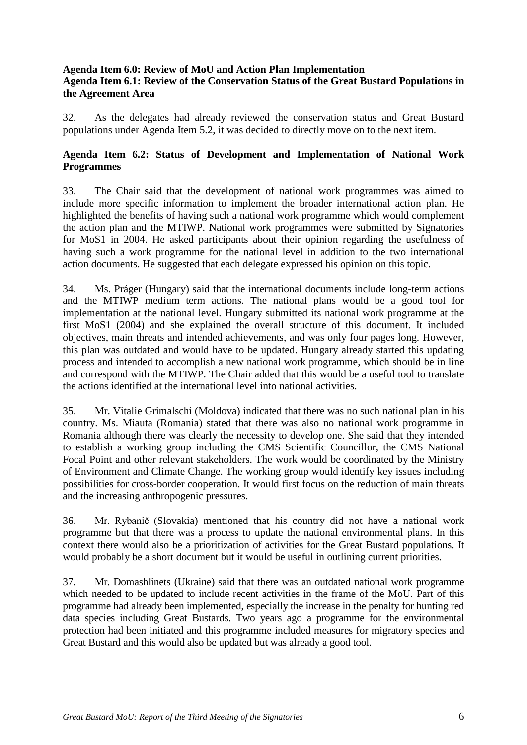## **Agenda Item 6.0: Review of MoU and Action Plan Implementation Agenda Item 6.1: Review of the Conservation Status of the Great Bustard Populations in the Agreement Area**

32. As the delegates had already reviewed the conservation status and Great Bustard populations under Agenda Item 5.2, it was decided to directly move on to the next item.

# **Agenda Item 6.2: Status of Development and Implementation of National Work Programmes**

33. The Chair said that the development of national work programmes was aimed to include more specific information to implement the broader international action plan. He highlighted the benefits of having such a national work programme which would complement the action plan and the MTIWP. National work programmes were submitted by Signatories for MoS1 in 2004. He asked participants about their opinion regarding the usefulness of having such a work programme for the national level in addition to the two international action documents. He suggested that each delegate expressed his opinion on this topic.

34. Ms. Práger (Hungary) said that the international documents include long-term actions and the MTIWP medium term actions. The national plans would be a good tool for implementation at the national level. Hungary submitted its national work programme at the first MoS1 (2004) and she explained the overall structure of this document. It included objectives, main threats and intended achievements, and was only four pages long. However, this plan was outdated and would have to be updated. Hungary already started this updating process and intended to accomplish a new national work programme, which should be in line and correspond with the MTIWP. The Chair added that this would be a useful tool to translate the actions identified at the international level into national activities.

35. Mr. Vitalie Grimalschi (Moldova) indicated that there was no such national plan in his country. Ms. Miauta (Romania) stated that there was also no national work programme in Romania although there was clearly the necessity to develop one. She said that they intended to establish a working group including the CMS Scientific Councillor, the CMS National Focal Point and other relevant stakeholders. The work would be coordinated by the Ministry of Environment and Climate Change. The working group would identify key issues including possibilities for cross-border cooperation. It would first focus on the reduction of main threats and the increasing anthropogenic pressures.

36. Mr. Rybanič (Slovakia) mentioned that his country did not have a national work programme but that there was a process to update the national environmental plans. In this context there would also be a prioritization of activities for the Great Bustard populations. It would probably be a short document but it would be useful in outlining current priorities.

37. Mr. Domashlinets (Ukraine) said that there was an outdated national work programme which needed to be updated to include recent activities in the frame of the MoU. Part of this programme had already been implemented, especially the increase in the penalty for hunting red data species including Great Bustards. Two years ago a programme for the environmental protection had been initiated and this programme included measures for migratory species and Great Bustard and this would also be updated but was already a good tool.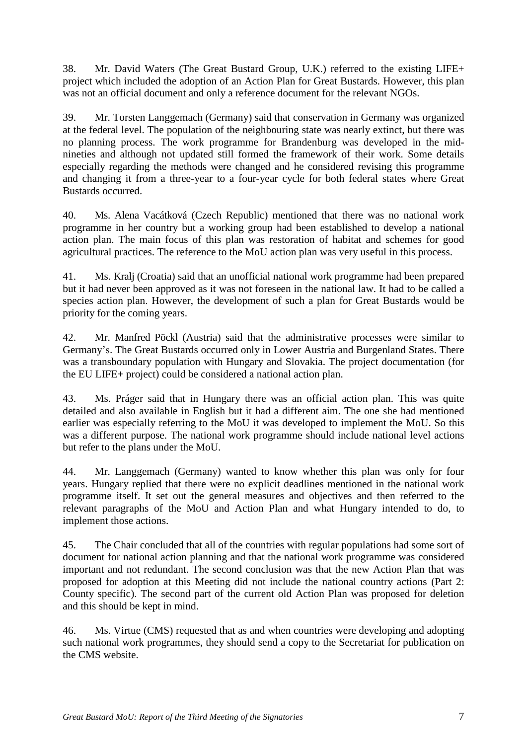38. Mr. David Waters (The Great Bustard Group, U.K.) referred to the existing LIFE+ project which included the adoption of an Action Plan for Great Bustards. However, this plan was not an official document and only a reference document for the relevant NGOs.

39. Mr. Torsten Langgemach (Germany) said that conservation in Germany was organized at the federal level. The population of the neighbouring state was nearly extinct, but there was no planning process. The work programme for Brandenburg was developed in the midnineties and although not updated still formed the framework of their work. Some details especially regarding the methods were changed and he considered revising this programme and changing it from a three-year to a four-year cycle for both federal states where Great Bustards occurred.

40. Ms. Alena Vacátková (Czech Republic) mentioned that there was no national work programme in her country but a working group had been established to develop a national action plan. The main focus of this plan was restoration of habitat and schemes for good agricultural practices. The reference to the MoU action plan was very useful in this process.

41. Ms. Kralj (Croatia) said that an unofficial national work programme had been prepared but it had never been approved as it was not foreseen in the national law. It had to be called a species action plan. However, the development of such a plan for Great Bustards would be priority for the coming years.

42. Mr. Manfred Pöckl (Austria) said that the administrative processes were similar to Germany's. The Great Bustards occurred only in Lower Austria and Burgenland States. There was a transboundary population with Hungary and Slovakia. The project documentation (for the EU LIFE+ project) could be considered a national action plan.

43. Ms. Práger said that in Hungary there was an official action plan. This was quite detailed and also available in English but it had a different aim. The one she had mentioned earlier was especially referring to the MoU it was developed to implement the MoU. So this was a different purpose. The national work programme should include national level actions but refer to the plans under the MoU.

44. Mr. Langgemach (Germany) wanted to know whether this plan was only for four years. Hungary replied that there were no explicit deadlines mentioned in the national work programme itself. It set out the general measures and objectives and then referred to the relevant paragraphs of the MoU and Action Plan and what Hungary intended to do, to implement those actions.

45. The Chair concluded that all of the countries with regular populations had some sort of document for national action planning and that the national work programme was considered important and not redundant. The second conclusion was that the new Action Plan that was proposed for adoption at this Meeting did not include the national country actions (Part 2: County specific). The second part of the current old Action Plan was proposed for deletion and this should be kept in mind.

46. Ms. Virtue (CMS) requested that as and when countries were developing and adopting such national work programmes, they should send a copy to the Secretariat for publication on the CMS website.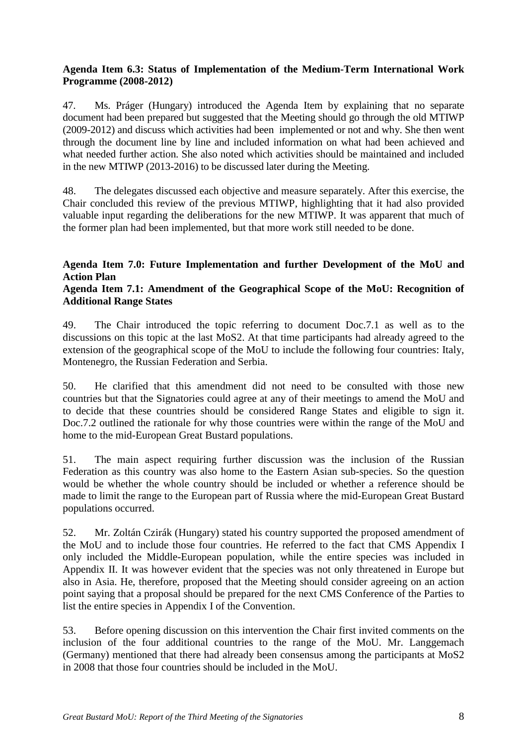## **Agenda Item 6.3: Status of Implementation of the Medium-Term International Work Programme (2008-2012)**

47. Ms. Práger (Hungary) introduced the Agenda Item by explaining that no separate document had been prepared but suggested that the Meeting should go through the old MTIWP (2009-2012) and discuss which activities had been implemented or not and why. She then went through the document line by line and included information on what had been achieved and what needed further action. She also noted which activities should be maintained and included in the new MTIWP (2013-2016) to be discussed later during the Meeting.

48. The delegates discussed each objective and measure separately. After this exercise, the Chair concluded this review of the previous MTIWP, highlighting that it had also provided valuable input regarding the deliberations for the new MTIWP. It was apparent that much of the former plan had been implemented, but that more work still needed to be done.

# **Agenda Item 7.0: Future Implementation and further Development of the MoU and Action Plan**

## **Agenda Item 7.1: Amendment of the Geographical Scope of the MoU: Recognition of Additional Range States**

49. The Chair introduced the topic referring to document Doc.7.1 as well as to the discussions on this topic at the last MoS2. At that time participants had already agreed to the extension of the geographical scope of the MoU to include the following four countries: Italy, Montenegro, the Russian Federation and Serbia.

50. He clarified that this amendment did not need to be consulted with those new countries but that the Signatories could agree at any of their meetings to amend the MoU and to decide that these countries should be considered Range States and eligible to sign it. Doc.7.2 outlined the rationale for why those countries were within the range of the MoU and home to the mid-European Great Bustard populations.

51. The main aspect requiring further discussion was the inclusion of the Russian Federation as this country was also home to the Eastern Asian sub-species. So the question would be whether the whole country should be included or whether a reference should be made to limit the range to the European part of Russia where the mid-European Great Bustard populations occurred.

52. Mr. Zoltán Czirák (Hungary) stated his country supported the proposed amendment of the MoU and to include those four countries. He referred to the fact that CMS Appendix I only included the Middle-European population, while the entire species was included in Appendix II. It was however evident that the species was not only threatened in Europe but also in Asia. He, therefore, proposed that the Meeting should consider agreeing on an action point saying that a proposal should be prepared for the next CMS Conference of the Parties to list the entire species in Appendix I of the Convention.

53. Before opening discussion on this intervention the Chair first invited comments on the inclusion of the four additional countries to the range of the MoU. Mr. Langgemach (Germany) mentioned that there had already been consensus among the participants at MoS2 in 2008 that those four countries should be included in the MoU.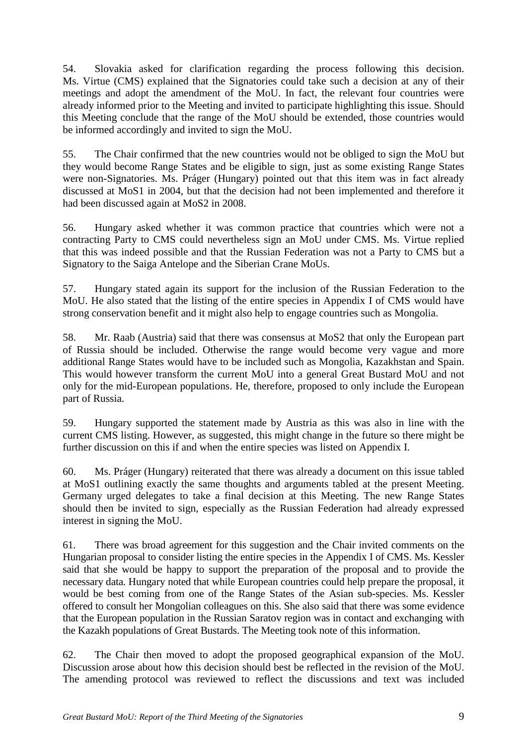54. Slovakia asked for clarification regarding the process following this decision. Ms. Virtue (CMS) explained that the Signatories could take such a decision at any of their meetings and adopt the amendment of the MoU. In fact, the relevant four countries were already informed prior to the Meeting and invited to participate highlighting this issue. Should this Meeting conclude that the range of the MoU should be extended, those countries would be informed accordingly and invited to sign the MoU.

55. The Chair confirmed that the new countries would not be obliged to sign the MoU but they would become Range States and be eligible to sign, just as some existing Range States were non-Signatories. Ms. Práger (Hungary) pointed out that this item was in fact already discussed at MoS1 in 2004, but that the decision had not been implemented and therefore it had been discussed again at MoS2 in 2008.

56. Hungary asked whether it was common practice that countries which were not a contracting Party to CMS could nevertheless sign an MoU under CMS. Ms. Virtue replied that this was indeed possible and that the Russian Federation was not a Party to CMS but a Signatory to the Saiga Antelope and the Siberian Crane MoUs.

57. Hungary stated again its support for the inclusion of the Russian Federation to the MoU. He also stated that the listing of the entire species in Appendix I of CMS would have strong conservation benefit and it might also help to engage countries such as Mongolia.

58. Mr. Raab (Austria) said that there was consensus at MoS2 that only the European part of Russia should be included. Otherwise the range would become very vague and more additional Range States would have to be included such as Mongolia, Kazakhstan and Spain. This would however transform the current MoU into a general Great Bustard MoU and not only for the mid-European populations. He, therefore, proposed to only include the European part of Russia.

59. Hungary supported the statement made by Austria as this was also in line with the current CMS listing. However, as suggested, this might change in the future so there might be further discussion on this if and when the entire species was listed on Appendix I.

60. Ms. Práger (Hungary) reiterated that there was already a document on this issue tabled at MoS1 outlining exactly the same thoughts and arguments tabled at the present Meeting. Germany urged delegates to take a final decision at this Meeting. The new Range States should then be invited to sign, especially as the Russian Federation had already expressed interest in signing the MoU.

61. There was broad agreement for this suggestion and the Chair invited comments on the Hungarian proposal to consider listing the entire species in the Appendix I of CMS. Ms. Kessler said that she would be happy to support the preparation of the proposal and to provide the necessary data. Hungary noted that while European countries could help prepare the proposal, it would be best coming from one of the Range States of the Asian sub-species. Ms. Kessler offered to consult her Mongolian colleagues on this. She also said that there was some evidence that the European population in the Russian Saratov region was in contact and exchanging with the Kazakh populations of Great Bustards. The Meeting took note of this information.

62. The Chair then moved to adopt the proposed geographical expansion of the MoU. Discussion arose about how this decision should best be reflected in the revision of the MoU. The amending protocol was reviewed to reflect the discussions and text was included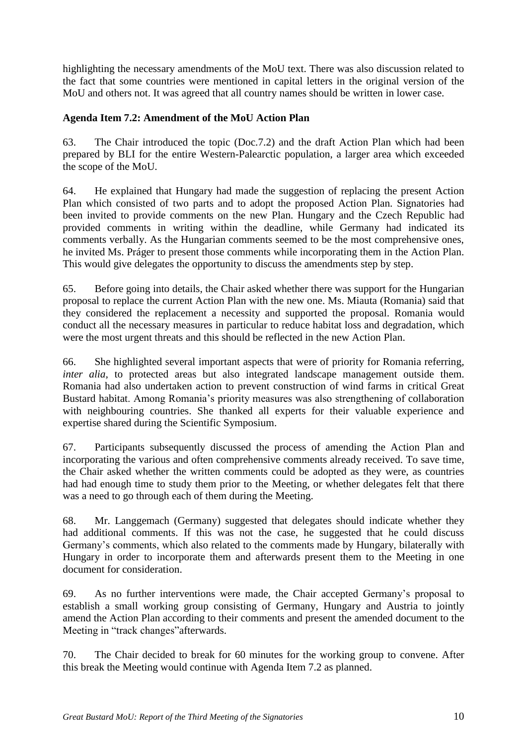highlighting the necessary amendments of the MoU text. There was also discussion related to the fact that some countries were mentioned in capital letters in the original version of the MoU and others not. It was agreed that all country names should be written in lower case.

## **Agenda Item 7.2: Amendment of the MoU Action Plan**

63. The Chair introduced the topic (Doc.7.2) and the draft Action Plan which had been prepared by BLI for the entire Western-Palearctic population, a larger area which exceeded the scope of the MoU.

64. He explained that Hungary had made the suggestion of replacing the present Action Plan which consisted of two parts and to adopt the proposed Action Plan. Signatories had been invited to provide comments on the new Plan. Hungary and the Czech Republic had provided comments in writing within the deadline, while Germany had indicated its comments verbally. As the Hungarian comments seemed to be the most comprehensive ones, he invited Ms. Práger to present those comments while incorporating them in the Action Plan. This would give delegates the opportunity to discuss the amendments step by step.

65. Before going into details, the Chair asked whether there was support for the Hungarian proposal to replace the current Action Plan with the new one. Ms. Miauta (Romania) said that they considered the replacement a necessity and supported the proposal. Romania would conduct all the necessary measures in particular to reduce habitat loss and degradation, which were the most urgent threats and this should be reflected in the new Action Plan.

66. She highlighted several important aspects that were of priority for Romania referring, *inter alia,* to protected areas but also integrated landscape management outside them. Romania had also undertaken action to prevent construction of wind farms in critical Great Bustard habitat. Among Romania's priority measures was also strengthening of collaboration with neighbouring countries. She thanked all experts for their valuable experience and expertise shared during the Scientific Symposium.

67. Participants subsequently discussed the process of amending the Action Plan and incorporating the various and often comprehensive comments already received. To save time, the Chair asked whether the written comments could be adopted as they were, as countries had had enough time to study them prior to the Meeting, or whether delegates felt that there was a need to go through each of them during the Meeting.

68. Mr. Langgemach (Germany) suggested that delegates should indicate whether they had additional comments. If this was not the case, he suggested that he could discuss Germany's comments, which also related to the comments made by Hungary, bilaterally with Hungary in order to incorporate them and afterwards present them to the Meeting in one document for consideration.

69. As no further interventions were made, the Chair accepted Germany's proposal to establish a small working group consisting of Germany, Hungary and Austria to jointly amend the Action Plan according to their comments and present the amended document to the Meeting in "track changes"afterwards.

70. The Chair decided to break for 60 minutes for the working group to convene. After this break the Meeting would continue with Agenda Item 7.2 as planned.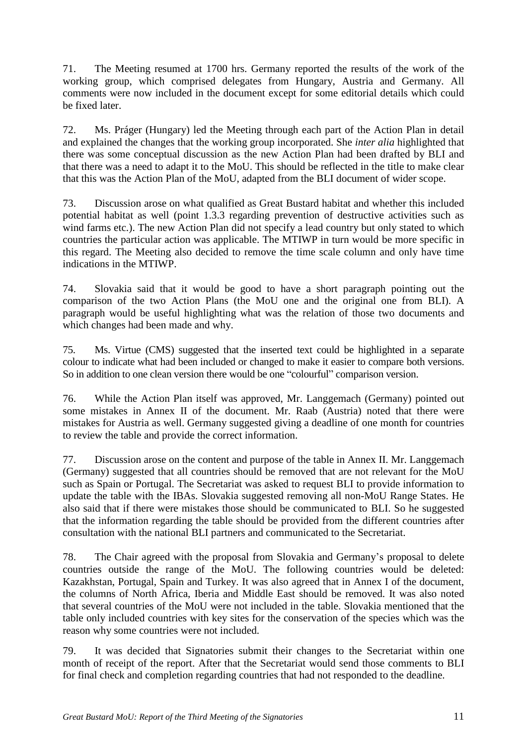71. The Meeting resumed at 1700 hrs. Germany reported the results of the work of the working group, which comprised delegates from Hungary, Austria and Germany. All comments were now included in the document except for some editorial details which could be fixed later.

72. Ms. Práger (Hungary) led the Meeting through each part of the Action Plan in detail and explained the changes that the working group incorporated. She *inter alia* highlighted that there was some conceptual discussion as the new Action Plan had been drafted by BLI and that there was a need to adapt it to the MoU. This should be reflected in the title to make clear that this was the Action Plan of the MoU, adapted from the BLI document of wider scope.

73. Discussion arose on what qualified as Great Bustard habitat and whether this included potential habitat as well (point 1.3.3 regarding prevention of destructive activities such as wind farms etc.). The new Action Plan did not specify a lead country but only stated to which countries the particular action was applicable. The MTIWP in turn would be more specific in this regard. The Meeting also decided to remove the time scale column and only have time indications in the MTIWP.

74. Slovakia said that it would be good to have a short paragraph pointing out the comparison of the two Action Plans (the MoU one and the original one from BLI). A paragraph would be useful highlighting what was the relation of those two documents and which changes had been made and why.

75. Ms. Virtue (CMS) suggested that the inserted text could be highlighted in a separate colour to indicate what had been included or changed to make it easier to compare both versions. So in addition to one clean version there would be one "colourful" comparison version.

76. While the Action Plan itself was approved, Mr. Langgemach (Germany) pointed out some mistakes in Annex II of the document. Mr. Raab (Austria) noted that there were mistakes for Austria as well. Germany suggested giving a deadline of one month for countries to review the table and provide the correct information.

77. Discussion arose on the content and purpose of the table in Annex II. Mr. Langgemach (Germany) suggested that all countries should be removed that are not relevant for the MoU such as Spain or Portugal. The Secretariat was asked to request BLI to provide information to update the table with the IBAs. Slovakia suggested removing all non-MoU Range States. He also said that if there were mistakes those should be communicated to BLI. So he suggested that the information regarding the table should be provided from the different countries after consultation with the national BLI partners and communicated to the Secretariat.

78. The Chair agreed with the proposal from Slovakia and Germany's proposal to delete countries outside the range of the MoU. The following countries would be deleted: Kazakhstan, Portugal, Spain and Turkey. It was also agreed that in Annex I of the document, the columns of North Africa, Iberia and Middle East should be removed. It was also noted that several countries of the MoU were not included in the table. Slovakia mentioned that the table only included countries with key sites for the conservation of the species which was the reason why some countries were not included.

79. It was decided that Signatories submit their changes to the Secretariat within one month of receipt of the report. After that the Secretariat would send those comments to BLI for final check and completion regarding countries that had not responded to the deadline.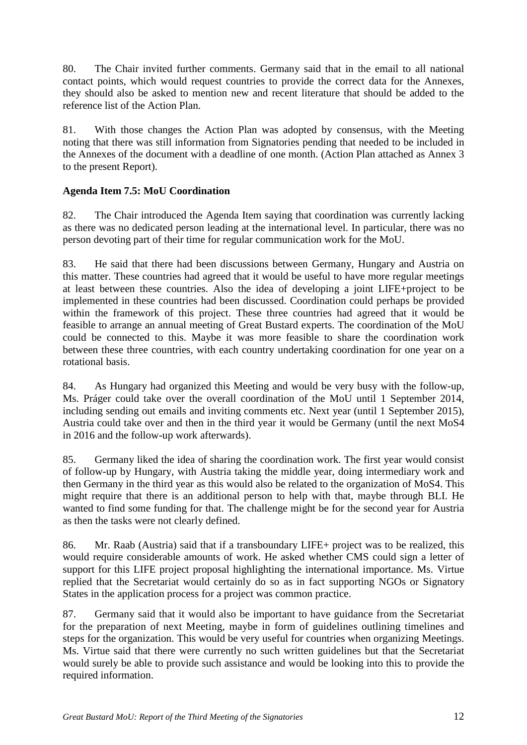80. The Chair invited further comments. Germany said that in the email to all national contact points, which would request countries to provide the correct data for the Annexes, they should also be asked to mention new and recent literature that should be added to the reference list of the Action Plan.

81. With those changes the Action Plan was adopted by consensus, with the Meeting noting that there was still information from Signatories pending that needed to be included in the Annexes of the document with a deadline of one month. (Action Plan attached as Annex 3 to the present Report).

# **Agenda Item 7.5: MoU Coordination**

82. The Chair introduced the Agenda Item saying that coordination was currently lacking as there was no dedicated person leading at the international level. In particular, there was no person devoting part of their time for regular communication work for the MoU.

83. He said that there had been discussions between Germany, Hungary and Austria on this matter. These countries had agreed that it would be useful to have more regular meetings at least between these countries. Also the idea of developing a joint LIFE+project to be implemented in these countries had been discussed. Coordination could perhaps be provided within the framework of this project. These three countries had agreed that it would be feasible to arrange an annual meeting of Great Bustard experts. The coordination of the MoU could be connected to this. Maybe it was more feasible to share the coordination work between these three countries, with each country undertaking coordination for one year on a rotational basis.

84. As Hungary had organized this Meeting and would be very busy with the follow-up, Ms. Práger could take over the overall coordination of the MoU until 1 September 2014, including sending out emails and inviting comments etc. Next year (until 1 September 2015), Austria could take over and then in the third year it would be Germany (until the next MoS4 in 2016 and the follow-up work afterwards).

85. Germany liked the idea of sharing the coordination work. The first year would consist of follow-up by Hungary, with Austria taking the middle year, doing intermediary work and then Germany in the third year as this would also be related to the organization of MoS4. This might require that there is an additional person to help with that, maybe through BLI. He wanted to find some funding for that. The challenge might be for the second year for Austria as then the tasks were not clearly defined.

86. Mr. Raab (Austria) said that if a transboundary LIFE+ project was to be realized, this would require considerable amounts of work. He asked whether CMS could sign a letter of support for this LIFE project proposal highlighting the international importance. Ms. Virtue replied that the Secretariat would certainly do so as in fact supporting NGOs or Signatory States in the application process for a project was common practice.

87. Germany said that it would also be important to have guidance from the Secretariat for the preparation of next Meeting, maybe in form of guidelines outlining timelines and steps for the organization. This would be very useful for countries when organizing Meetings. Ms. Virtue said that there were currently no such written guidelines but that the Secretariat would surely be able to provide such assistance and would be looking into this to provide the required information.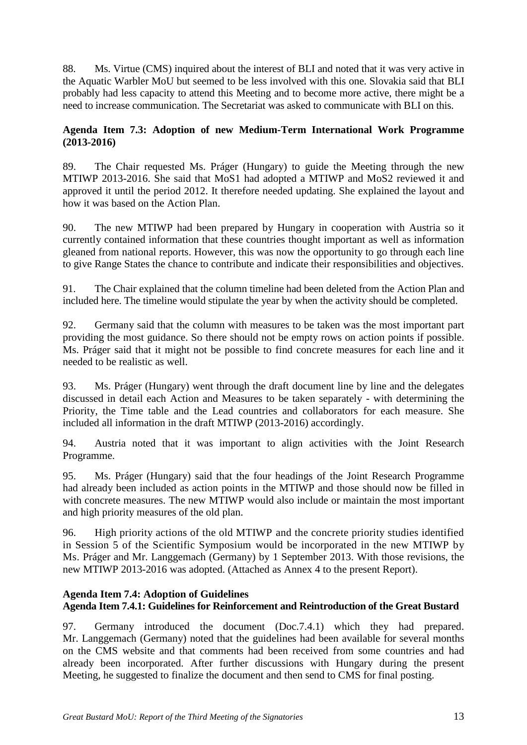88. Ms. Virtue (CMS) inquired about the interest of BLI and noted that it was very active in the Aquatic Warbler MoU but seemed to be less involved with this one. Slovakia said that BLI probably had less capacity to attend this Meeting and to become more active, there might be a need to increase communication. The Secretariat was asked to communicate with BLI on this.

# **Agenda Item 7.3: Adoption of new Medium-Term International Work Programme (2013-2016)**

89. The Chair requested Ms. Práger (Hungary) to guide the Meeting through the new MTIWP 2013-2016. She said that MoS1 had adopted a MTIWP and MoS2 reviewed it and approved it until the period 2012. It therefore needed updating. She explained the layout and how it was based on the Action Plan.

90. The new MTIWP had been prepared by Hungary in cooperation with Austria so it currently contained information that these countries thought important as well as information gleaned from national reports. However, this was now the opportunity to go through each line to give Range States the chance to contribute and indicate their responsibilities and objectives.

91. The Chair explained that the column timeline had been deleted from the Action Plan and included here. The timeline would stipulate the year by when the activity should be completed.

92. Germany said that the column with measures to be taken was the most important part providing the most guidance. So there should not be empty rows on action points if possible. Ms. Práger said that it might not be possible to find concrete measures for each line and it needed to be realistic as well.

93. Ms. Práger (Hungary) went through the draft document line by line and the delegates discussed in detail each Action and Measures to be taken separately - with determining the Priority, the Time table and the Lead countries and collaborators for each measure. She included all information in the draft MTIWP (2013-2016) accordingly.

94. Austria noted that it was important to align activities with the Joint Research Programme.

95. Ms. Práger (Hungary) said that the four headings of the Joint Research Programme had already been included as action points in the MTIWP and those should now be filled in with concrete measures. The new MTIWP would also include or maintain the most important and high priority measures of the old plan.

96. High priority actions of the old MTIWP and the concrete priority studies identified in Session 5 of the Scientific Symposium would be incorporated in the new MTIWP by Ms. Práger and Mr. Langgemach (Germany) by 1 September 2013. With those revisions, the new MTIWP 2013-2016 was adopted. (Attached as Annex 4 to the present Report).

## **Agenda Item 7.4: Adoption of Guidelines**

# **Agenda Item 7.4.1: Guidelines for Reinforcement and Reintroduction of the Great Bustard**

97. Germany introduced the document (Doc.7.4.1) which they had prepared. Mr. Langgemach (Germany) noted that the guidelines had been available for several months on the CMS website and that comments had been received from some countries and had already been incorporated. After further discussions with Hungary during the present Meeting, he suggested to finalize the document and then send to CMS for final posting.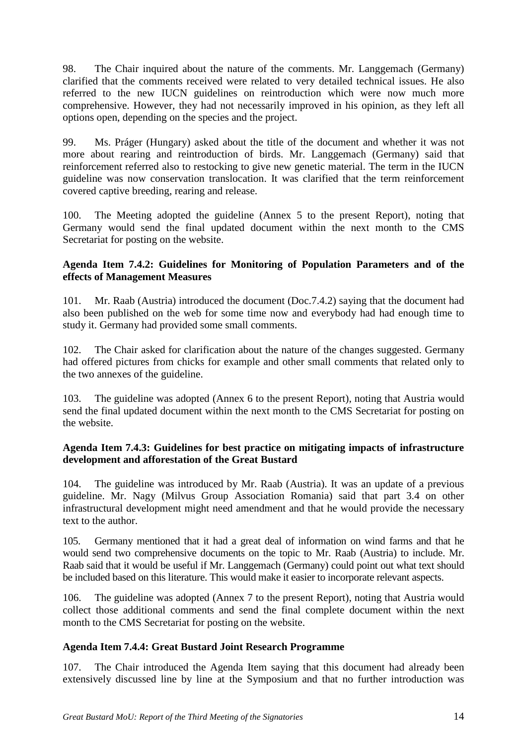98. The Chair inquired about the nature of the comments. Mr. Langgemach (Germany) clarified that the comments received were related to very detailed technical issues. He also referred to the new IUCN guidelines on reintroduction which were now much more comprehensive. However, they had not necessarily improved in his opinion, as they left all options open, depending on the species and the project.

99. Ms. Práger (Hungary) asked about the title of the document and whether it was not more about rearing and reintroduction of birds. Mr. Langgemach (Germany) said that reinforcement referred also to restocking to give new genetic material. The term in the IUCN guideline was now conservation translocation. It was clarified that the term reinforcement covered captive breeding, rearing and release.

100. The Meeting adopted the guideline (Annex 5 to the present Report), noting that Germany would send the final updated document within the next month to the CMS Secretariat for posting on the website.

#### **Agenda Item 7.4.2: Guidelines for Monitoring of Population Parameters and of the effects of Management Measures**

101. Mr. Raab (Austria) introduced the document (Doc.7.4.2) saying that the document had also been published on the web for some time now and everybody had had enough time to study it. Germany had provided some small comments.

102. The Chair asked for clarification about the nature of the changes suggested. Germany had offered pictures from chicks for example and other small comments that related only to the two annexes of the guideline.

103. The guideline was adopted (Annex 6 to the present Report), noting that Austria would send the final updated document within the next month to the CMS Secretariat for posting on the website.

#### **Agenda Item 7.4.3: Guidelines for best practice on mitigating impacts of infrastructure development and afforestation of the Great Bustard**

104. The guideline was introduced by Mr. Raab (Austria). It was an update of a previous guideline. Mr. Nagy (Milvus Group Association Romania) said that part 3.4 on other infrastructural development might need amendment and that he would provide the necessary text to the author.

105. Germany mentioned that it had a great deal of information on wind farms and that he would send two comprehensive documents on the topic to Mr. Raab (Austria) to include. Mr. Raab said that it would be useful if Mr. Langgemach (Germany) could point out what text should be included based on this literature. This would make it easier to incorporate relevant aspects.

106. The guideline was adopted (Annex 7 to the present Report), noting that Austria would collect those additional comments and send the final complete document within the next month to the CMS Secretariat for posting on the website.

## **Agenda Item 7.4.4: Great Bustard Joint Research Programme**

107. The Chair introduced the Agenda Item saying that this document had already been extensively discussed line by line at the Symposium and that no further introduction was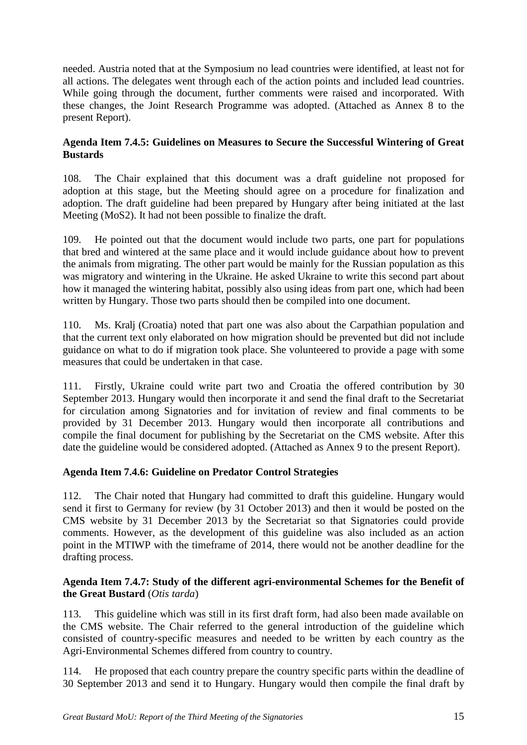needed. Austria noted that at the Symposium no lead countries were identified, at least not for all actions. The delegates went through each of the action points and included lead countries. While going through the document, further comments were raised and incorporated. With these changes, the Joint Research Programme was adopted. (Attached as Annex 8 to the present Report).

### **Agenda Item 7.4.5: Guidelines on Measures to Secure the Successful Wintering of Great Bustards**

108. The Chair explained that this document was a draft guideline not proposed for adoption at this stage, but the Meeting should agree on a procedure for finalization and adoption. The draft guideline had been prepared by Hungary after being initiated at the last Meeting (MoS2). It had not been possible to finalize the draft.

109. He pointed out that the document would include two parts, one part for populations that bred and wintered at the same place and it would include guidance about how to prevent the animals from migrating. The other part would be mainly for the Russian population as this was migratory and wintering in the Ukraine. He asked Ukraine to write this second part about how it managed the wintering habitat, possibly also using ideas from part one, which had been written by Hungary. Those two parts should then be compiled into one document.

110. Ms. Kralj (Croatia) noted that part one was also about the Carpathian population and that the current text only elaborated on how migration should be prevented but did not include guidance on what to do if migration took place. She volunteered to provide a page with some measures that could be undertaken in that case.

111. Firstly, Ukraine could write part two and Croatia the offered contribution by 30 September 2013. Hungary would then incorporate it and send the final draft to the Secretariat for circulation among Signatories and for invitation of review and final comments to be provided by 31 December 2013. Hungary would then incorporate all contributions and compile the final document for publishing by the Secretariat on the CMS website. After this date the guideline would be considered adopted. (Attached as Annex 9 to the present Report).

## **Agenda Item 7.4.6: Guideline on Predator Control Strategies**

112. The Chair noted that Hungary had committed to draft this guideline. Hungary would send it first to Germany for review (by 31 October 2013) and then it would be posted on the CMS website by 31 December 2013 by the Secretariat so that Signatories could provide comments. However, as the development of this guideline was also included as an action point in the MTIWP with the timeframe of 2014, there would not be another deadline for the drafting process.

## **Agenda Item 7.4.7: Study of the different agri-environmental Schemes for the Benefit of the Great Bustard** (*Otis tarda*)

113. This guideline which was still in its first draft form, had also been made available on the CMS website. The Chair referred to the general introduction of the guideline which consisted of country-specific measures and needed to be written by each country as the Agri-Environmental Schemes differed from country to country.

114. He proposed that each country prepare the country specific parts within the deadline of 30 September 2013 and send it to Hungary. Hungary would then compile the final draft by